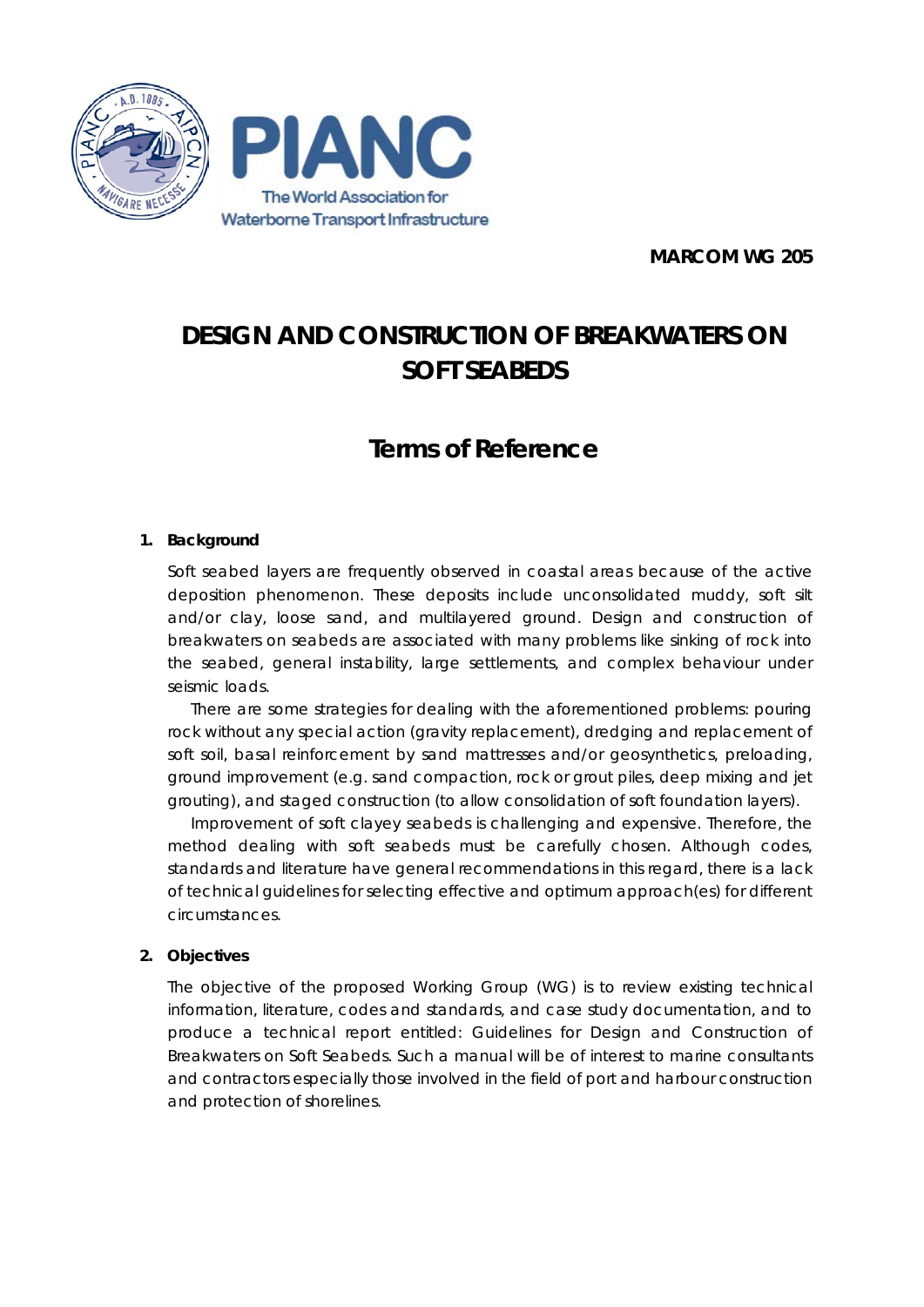

**MARCOM WG 205**

# **DESIGN AND CONSTRUCTION OF BREAKWATERS ON SOFT SEABEDS**

## **Terms of Reference**

#### **1. Background**

Soft seabed layers are frequently observed in coastal areas because of the active deposition phenomenon. These deposits include unconsolidated muddy, soft silt and/or clay, loose sand, and multilayered ground. Design and construction of breakwaters on seabeds are associated with many problems like sinking of rock into the seabed, general instability, large settlements, and complex behaviour under seismic loads.

There are some strategies for dealing with the aforementioned problems: pouring rock without any special action (gravity replacement), dredging and replacement of soft soil, basal reinforcement by sand mattresses and/or geosynthetics, preloading, ground improvement (e.g. sand compaction, rock or grout piles, deep mixing and jet grouting), and staged construction (to allow consolidation of soft foundation layers).

Improvement of soft clayey seabeds is challenging and expensive. Therefore, the method dealing with soft seabeds must be carefully chosen. Although codes, standards and literature have general recommendations in this regard, there is a lack of technical guidelines for selecting effective and optimum approach(es) for different circumstances.

#### **2. Objectives**

The objective of the proposed Working Group (WG) is to review existing technical information, literature, codes and standards, and case study documentation, and to produce a technical report entitled: *Guidelines for Design and Construction of Breakwaters on Soft Seabeds*. Such a manual will be of interest to marine consultants and contractors especially those involved in the field of port and harbour construction and protection of shorelines.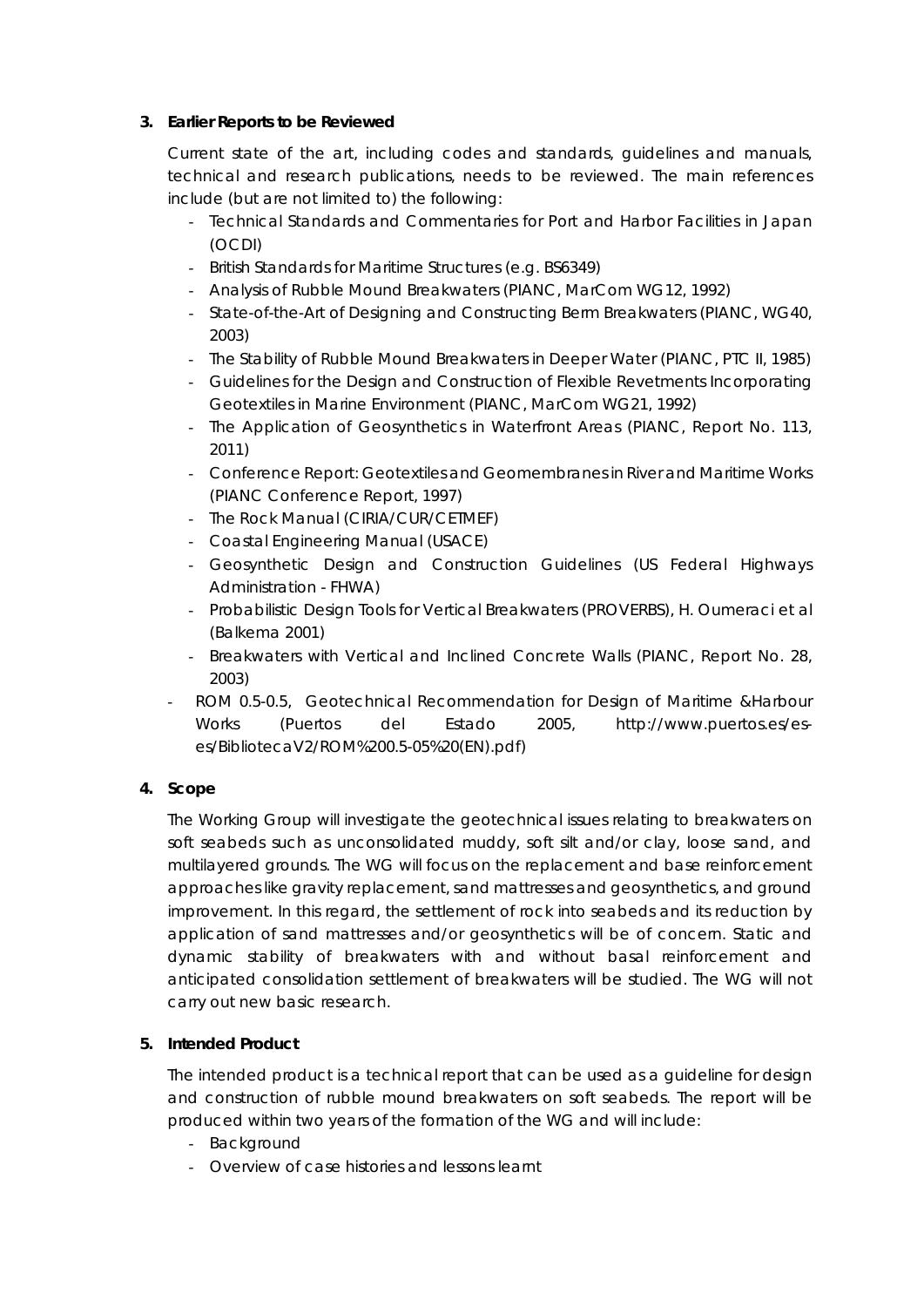#### **3. Earlier Reports to be Reviewed**

Current state of the art, including codes and standards, guidelines and manuals, technical and research publications, needs to be reviewed. The main references include (but are not limited to) the following:

- Technical Standards and Commentaries for Port and Harbor Facilities in Japan (OCDI)
- British Standards for Maritime Structures (e.g. BS6349)
- Analysis of Rubble Mound Breakwaters (PIANC, MarCom WG12, 1992)
- State-of-the-Art of Designing and Constructing Berm Breakwaters (PIANC, WG40, 2003)
- [The Stability of Rubble Mound Breakwaters in Deeper Water](http://www.pianc.org/edits/articleshop.php?id=2000021) (PIANC, PTC II, 1985)
- Guidelines for the Design and Construction of Flexible Revetments Incorporating Geotextiles in Marine Environment (PIANC, MarCom WG21, 1992)
- [The Application of Geosynthetics in Waterfront Areas](http://www.pianc.org/edits/articleshop.php?id=1001090) (PIANC, Report No. 113, 2011)
- Conference Report[: Geotextiles and Geomembranes in River and Maritime Works](http://www.pianc.org/edits/articleshop.php?id=6000011) (PIANC Conference Report, 1997)
- The Rock Manual (CIRIA/CUR/CETMEF)
- Coastal Engineering Manual (USACE)
- Geosynthetic Design and Construction Guidelines (US Federal Highways Administration - FHWA)
- Probabilistic Design Tools for Vertical Breakwaters (PROVERBS), H. Oumeraci et al (Balkema 2001)
- Breakwaters with Vertical and Inclined Concrete Walls (PIANC, Report No. 28, 2003)
- ROM 0.5-0.5, Geotechnical Recommendation for Design of Maritime &Harbour Works (Puertos del Estado 2005, http://www.puertos.es/eses/BibliotecaV2/ROM%200.5-05%20(EN).pdf)

#### **4. Scope**

The Working Group will investigate the geotechnical issues relating to breakwaters on soft seabeds such as unconsolidated muddy, soft silt and/or clay, loose sand, and multilayered grounds. The WG will focus on the replacement and base reinforcement approaches like gravity replacement, sand mattresses and geosynthetics, and ground improvement. In this regard, the settlement of rock into seabeds and its reduction by application of sand mattresses and/or geosynthetics will be of concern. Static and dynamic stability of breakwaters with and without basal reinforcement and anticipated consolidation settlement of breakwaters will be studied. The WG will not carry out new basic research.

### **5. Intended Product**

The intended product is a technical report that can be used as a guideline for design and construction of rubble mound breakwaters on soft seabeds. The report will be produced within two years of the formation of the WG and will include:

- Background
- Overview of case histories and lessons learnt